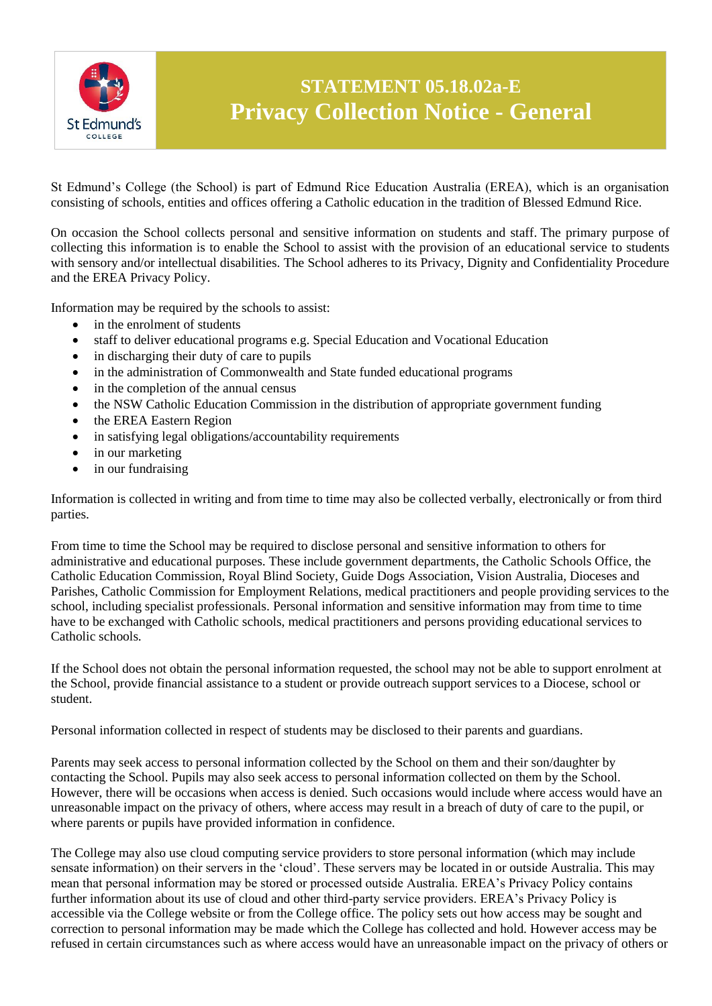

## **STATEMENT 05.18.02a-E Privacy Collection Notice - General**

St Edmund's College (the School) is part of Edmund Rice Education Australia (EREA), which is an organisation consisting of schools, entities and offices offering a Catholic education in the tradition of Blessed Edmund Rice.

On occasion the School collects personal and sensitive information on students and staff. The primary purpose of collecting this information is to enable the School to assist with the provision of an educational service to students with sensory and/or intellectual disabilities. The School adheres to its Privacy, Dignity and Confidentiality Procedure and the EREA Privacy Policy.

Information may be required by the schools to assist:

- in the enrolment of students
- staff to deliver educational programs e.g. Special Education and Vocational Education
- in discharging their duty of care to pupils
- in the administration of Commonwealth and State funded educational programs
- in the completion of the annual census
- the NSW Catholic Education Commission in the distribution of appropriate government funding
- the EREA Eastern Region
- in satisfying legal obligations/accountability requirements
- in our marketing
- $\bullet$  in our fundraising

Information is collected in writing and from time to time may also be collected verbally, electronically or from third parties.

From time to time the School may be required to disclose personal and sensitive information to others for administrative and educational purposes. These include government departments, the Catholic Schools Office, the Catholic Education Commission, Royal Blind Society, Guide Dogs Association, Vision Australia, Dioceses and Parishes, Catholic Commission for Employment Relations, medical practitioners and people providing services to the school, including specialist professionals. Personal information and sensitive information may from time to time have to be exchanged with Catholic schools, medical practitioners and persons providing educational services to Catholic schools.

If the School does not obtain the personal information requested, the school may not be able to support enrolment at the School, provide financial assistance to a student or provide outreach support services to a Diocese, school or student.

Personal information collected in respect of students may be disclosed to their parents and guardians.

Parents may seek access to personal information collected by the School on them and their son/daughter by contacting the School. Pupils may also seek access to personal information collected on them by the School. However, there will be occasions when access is denied. Such occasions would include where access would have an unreasonable impact on the privacy of others, where access may result in a breach of duty of care to the pupil, or where parents or pupils have provided information in confidence.

The College may also use cloud computing service providers to store personal information (which may include sensate information) on their servers in the 'cloud'. These servers may be located in or outside Australia. This may mean that personal information may be stored or processed outside Australia. EREA's Privacy Policy contains further information about its use of cloud and other third-party service providers. EREA's Privacy Policy is accessible via the College website or from the College office. The policy sets out how access may be sought and correction to personal information may be made which the College has collected and hold. However access may be refused in certain circumstances such as where access would have an unreasonable impact on the privacy of others or